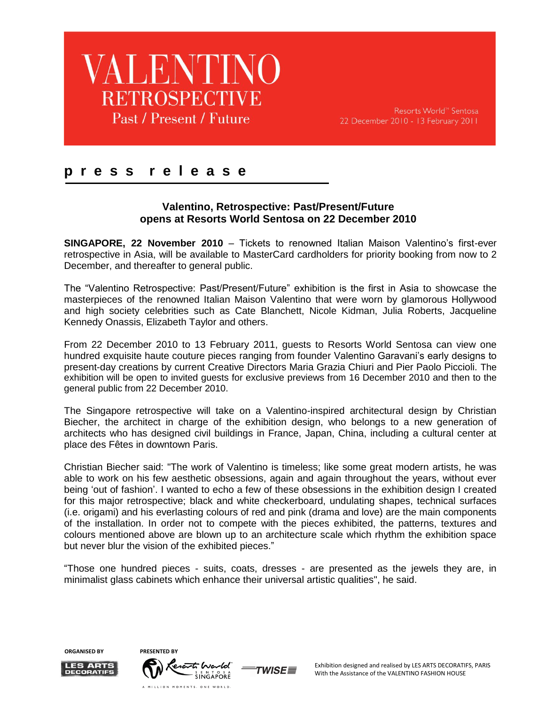

Resorts World<sup>™</sup> Sentosa 22 December 2010 - 13 February 2011

### **p r e s s r e l e a s e**

#### **Valentino, Retrospective: Past/Present/Future opens at Resorts World Sentosa on 22 December 2010**

**SINGAPORE, 22 November 2010** – Tickets to renowned Italian Maison Valentino"s first-ever retrospective in Asia, will be available to MasterCard cardholders for priority booking from now to 2 December, and thereafter to general public.

The "Valentino Retrospective: Past/Present/Future" exhibition is the first in Asia to showcase the masterpieces of the renowned Italian Maison Valentino that were worn by glamorous Hollywood and high society celebrities such as Cate Blanchett, Nicole Kidman, Julia Roberts, Jacqueline Kennedy Onassis, Elizabeth Taylor and others.

From 22 December 2010 to 13 February 2011, guests to Resorts World Sentosa can view one hundred exquisite haute couture pieces ranging from founder Valentino Garavani"s early designs to present-day creations by current Creative Directors Maria Grazia Chiuri and Pier Paolo Piccioli. The exhibition will be open to invited guests for exclusive previews from 16 December 2010 and then to the general public from 22 December 2010.

The Singapore retrospective will take on a Valentino-inspired architectural design by Christian Biecher, the architect in charge of the exhibition design, who belongs to a new generation of architects who has designed civil buildings in France, Japan, China, including a cultural center at place des Fêtes in downtown Paris.

Christian Biecher said: "The work of Valentino is timeless; like some great modern artists, he was able to work on his few aesthetic obsessions, again and again throughout the years, without ever being "out of fashion". I wanted to echo a few of these obsessions in the exhibition design I created for this major retrospective; black and white checkerboard, undulating shapes, technical surfaces (i.e. origami) and his everlasting colours of red and pink (drama and love) are the main components of the installation. In order not to compete with the pieces exhibited, the patterns, textures and colours mentioned above are blown up to an architecture scale which rhythm the exhibition space but never blur the vision of the exhibited pieces."

"Those one hundred pieces - suits, coats, dresses - are presented as the jewels they are, in minimalist glass cabinets which enhance their universal artistic qualities", he said.



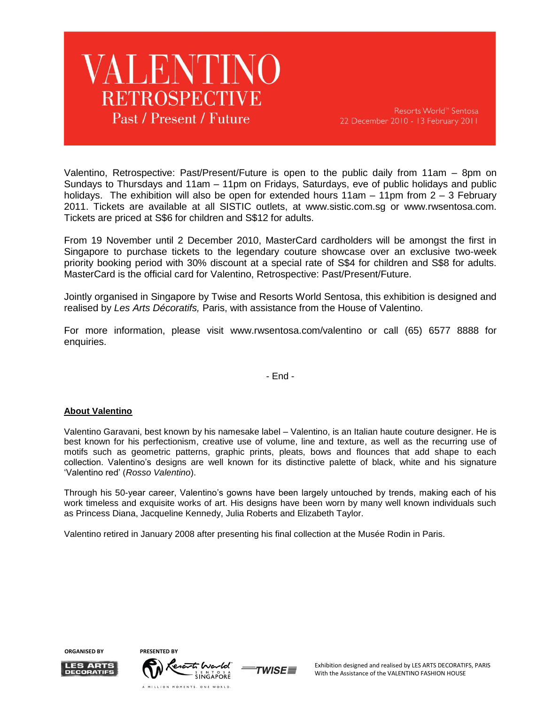## **VALENTINO RETROSPECTIVE** Past / Present / Future

Resorts World<sup>™</sup> Sentosa 22 December 2010 - 13 February 2011

Valentino, Retrospective: Past/Present/Future is open to the public daily from 11am – 8pm on Sundays to Thursdays and 11am – 11pm on Fridays, Saturdays, eve of public holidays and public holidays. The exhibition will also be open for extended hours  $11am - 11pm$  from  $2 - 3$  February 2011. Tickets are available at all SISTIC outlets, at [www.sistic.com.sg](http://www.sistic.com.sg/) or [www.rwsentosa.com.](http://www.rwsentosa.com/) Tickets are priced at S\$6 for children and S\$12 for adults.

From 19 November until 2 December 2010, MasterCard cardholders will be amongst the first in Singapore to purchase tickets to the legendary couture showcase over an exclusive two-week priority booking period with 30% discount at a special rate of S\$4 for children and S\$8 for adults. MasterCard is the official card for Valentino, Retrospective: Past/Present/Future.

Jointly organised in Singapore by Twise and Resorts World Sentosa, this exhibition is designed and realised by *Les Arts Décoratifs,* Paris, with assistance from the House of Valentino.

For more information, please visit [www.rwsentosa.com/v](http://www.rwsentosa.com/)alentino or call (65) 6577 8888 for enquiries.

- End -

#### **About Valentino**

Valentino Garavani, best known by his namesake label – Valentino, is an Italian haute couture designer. He is best known for his perfectionism, creative use of volume, line and texture, as well as the recurring use of motifs such as geometric patterns, graphic prints, pleats, bows and flounces that add shape to each collection. Valentino"s designs are well known for its distinctive palette of black, white and his signature "Valentino red" (*Rosso Valentino*).

Through his 50-year career, Valentino"s gowns have been largely untouched by trends, making each of his work timeless and exquisite works of art. His designs have been worn by many well known individuals such as Princess Diana, Jacqueline Kennedy, Julia Roberts and Elizabeth Taylor.

Valentino retired in January 2008 after presenting his final collection at the Musée Rodin in Paris.

**ORGANISED BY** 



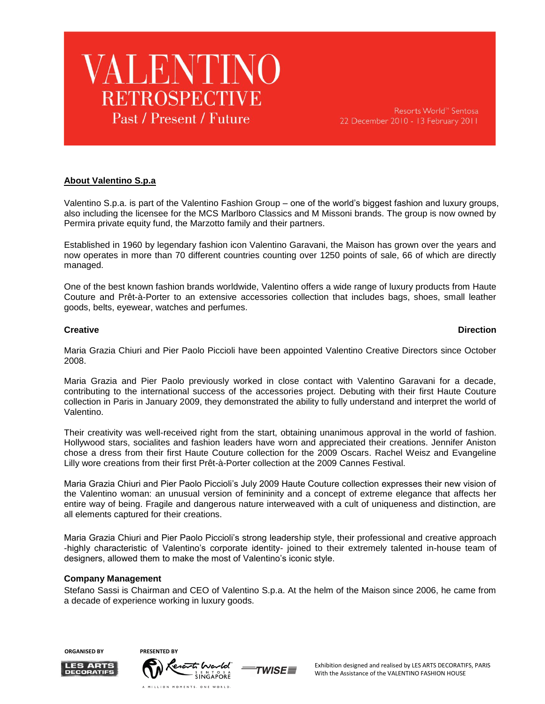

#### **About Valentino S.p.a**

Valentino S.p.a. is part of the Valentino Fashion Group – one of the world"s biggest fashion and luxury groups, also including the licensee for the MCS Marlboro Classics and M Missoni brands. The group is now owned by Permira private equity fund, the Marzotto family and their partners.

Established in 1960 by legendary fashion icon Valentino Garavani, the Maison has grown over the years and now operates in more than 70 different countries counting over 1250 points of sale, 66 of which are directly managed.

One of the best known fashion brands worldwide, Valentino offers a wide range of luxury products from Haute Couture and Prêt-à-Porter to an extensive accessories collection that includes bags, shoes, small leather goods, belts, eyewear, watches and perfumes.

#### **Creative Direction**

Maria Grazia Chiuri and Pier Paolo Piccioli have been appointed Valentino Creative Directors since October 2008.

Maria Grazia and Pier Paolo previously worked in close contact with Valentino Garavani for a decade, contributing to the international success of the accessories project. Debuting with their first Haute Couture collection in Paris in January 2009, they demonstrated the ability to fully understand and interpret the world of Valentino.

Their creativity was well-received right from the start, obtaining unanimous approval in the world of fashion. Hollywood stars, socialites and fashion leaders have worn and appreciated their creations. Jennifer Aniston chose a dress from their first Haute Couture collection for the 2009 Oscars. Rachel Weisz and Evangeline Lilly wore creations from their first Prêt-à-Porter collection at the 2009 Cannes Festival.

Maria Grazia Chiuri and Pier Paolo Piccioli"s July 2009 Haute Couture collection expresses their new vision of the Valentino woman: an unusual version of femininity and a concept of extreme elegance that affects her entire way of being. Fragile and dangerous nature interweaved with a cult of uniqueness and distinction, are all elements captured for their creations.

Maria Grazia Chiuri and Pier Paolo Piccioli"s strong leadership style, their professional and creative approach -highly characteristic of Valentino"s corporate identity- joined to their extremely talented in-house team of designers, allowed them to make the most of Valentino's iconic style.

#### **Company Management**

Stefano Sassi is Chairman and CEO of Valentino S.p.a. At the helm of the Maison since 2006, he came from a decade of experience working in luxury goods.

**ORGANISED BY PRESENTED BY**



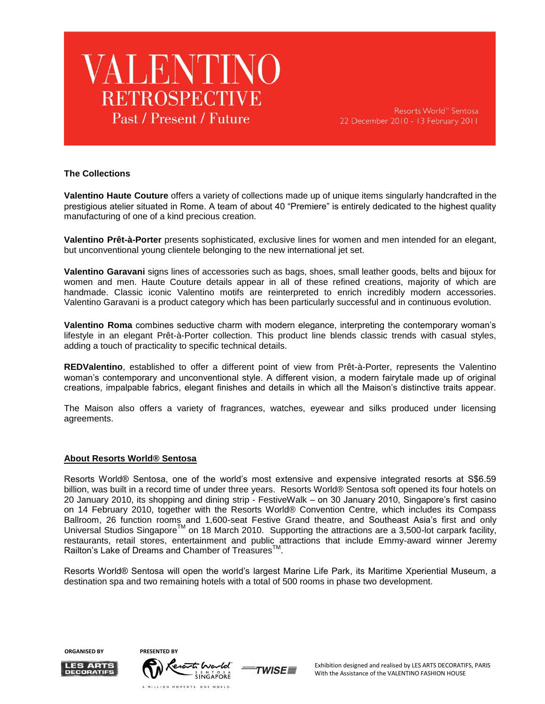

Resorts World™ Sentosa 22 December 2010 - 13 February 2011

#### **The Collections**

**Valentino Haute Couture** offers a variety of collections made up of unique items singularly handcrafted in the prestigious atelier situated in Rome. A team of about 40 "Premiere" is entirely dedicated to the highest quality manufacturing of one of a kind precious creation.

**Valentino Prêt-à-Porter** presents sophisticated, exclusive lines for women and men intended for an elegant, but unconventional young clientele belonging to the new international jet set.

**Valentino Garavani** signs lines of accessories such as bags, shoes, small leather goods, belts and bijoux for women and men. Haute Couture details appear in all of these refined creations, majority of which are handmade. Classic iconic Valentino motifs are reinterpreted to enrich incredibly modern accessories. Valentino Garavani is a product category which has been particularly successful and in continuous evolution.

**Valentino Roma** combines seductive charm with modern elegance, interpreting the contemporary woman"s lifestyle in an elegant Prêt-à-Porter collection. This product line blends classic trends with casual styles, adding a touch of practicality to specific technical details.

**REDValentino**, established to offer a different point of view from Prêt-à-Porter, represents the Valentino woman"s contemporary and unconventional style. A different vision, a modern fairytale made up of original creations, impalpable fabrics, elegant finishes and details in which all the Maison"s distinctive traits appear.

The Maison also offers a variety of fragrances, watches, eyewear and silks produced under licensing agreements.

#### **About Resorts World® Sentosa**

Resorts World® Sentosa, one of the world"s most extensive and expensive integrated resorts at S\$6.59 billion, was built in a record time of under three years. Resorts World® Sentosa soft opened its four hotels on 20 January 2010, its shopping and dining strip - FestiveWalk – on 30 January 2010, Singapore"s first casino on 14 February 2010, together with the Resorts World® Convention Centre, which includes its Compass Ballroom, 26 function rooms and 1,600-seat Festive Grand theatre, and Southeast Asia"s first and only Universal Studios Singapore<sup>TM</sup> on 18 March 2010. Supporting the attractions are a 3,500-lot carpark facility, restaurants, retail stores, entertainment and public attractions that include Emmy-award winner Jeremy Railton's Lake of Dreams and Chamber of Treasures<sup>™</sup>.

Resorts World® Sentosa will open the world"s largest Marine Life Park, its Maritime Xperiential Museum, a destination spa and two remaining hotels with a total of 500 rooms in phase two development.

**ORGANISED BY** 



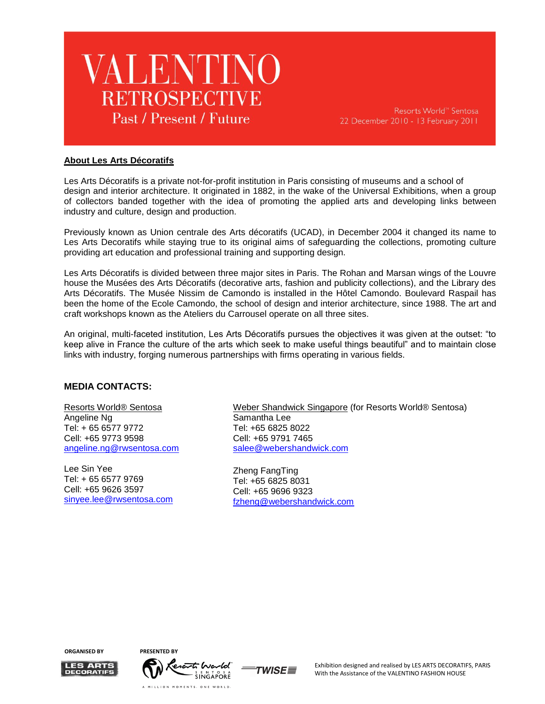

Resorts World™ Sentosa 22 December 2010 - 13 February 2011

#### **About Les Arts Décoratifs**

Les Arts Décoratifs is a private not-for-profit institution in Paris consisting of museums and a school of design and interior architecture. It originated in 1882, in the wake of the Universal Exhibitions, when a group of collectors banded together with the idea of promoting the applied arts and developing links between industry and culture, design and production.

Previously known as Union centrale des Arts décoratifs (UCAD), in December 2004 it changed its name to Les Arts Decoratifs while staying true to its original aims of safeguarding the collections, promoting culture providing art education and professional training and supporting design.

Les Arts Décoratifs is divided between three major sites in Paris. The Rohan and Marsan wings of the Louvre house the Musées des Arts Décoratifs (decorative arts, fashion and publicity collections), and the Library des Arts Décoratifs. The Musée Nissim de Camondo is installed in the Hôtel Camondo. Boulevard Raspail has been the home of the Ecole Camondo, the school of design and interior architecture, since 1988. The art and craft workshops known as the Ateliers du Carrousel operate on all three sites.

An original, multi-faceted institution, Les Arts Décoratifs pursues the objectives it was given at the outset: "to keep alive in France the culture of the arts which seek to make useful things beautiful" and to maintain close links with industry, forging numerous partnerships with firms operating in various fields.

#### **MEDIA CONTACTS:**

Resorts World® Sentosa Angeline Ng Tel: + 65 6577 9772 Cell: +65 9773 9598 [angeline.ng@rwsentosa.com](mailto:Angeline.ng@rwsentosa.com)

Lee Sin Yee Tel: + 65 6577 9769 Cell: +65 9626 3597 [sinyee.lee@rwsentosa.com](mailto:sinyee.lee@rwsentosa.com) Weber Shandwick Singapore (for Resorts World® Sentosa) Samantha Lee Tel: +65 6825 8022 Cell: +65 9791 7465 [salee@webershandwick.com](mailto:salee@webershandwick.com)

Zheng FangTing Tel: +65 6825 8031 Cell: +65 9696 9323 [fzheng@webershandwick.com](mailto:fzheng@webershandwick.com)

**ORGANISED BY PRESENTED BY**





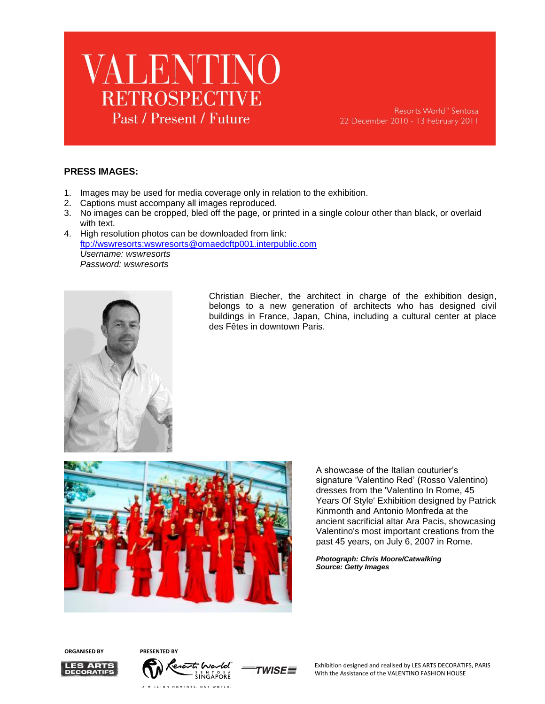

#### **PRESS IMAGES:**

- 1. Images may be used for media coverage only in relation to the exhibition.
- 2. Captions must accompany all images reproduced.
- 3. No images can be cropped, bled off the page, or printed in a single colour other than black, or overlaid with text.
- 4. High resolution photos can be downloaded from link: [ftp://wswresorts:wswresorts@omaedcftp001.interpublic.com](ftp://wswresorts:wswresorts@omaedcftp001.interpublic.com/) *Username: wswresorts Password: wswresorts*



Christian Biecher, the architect in charge of the exhibition design, belongs to a new generation of architects who has designed civil buildings in France, Japan, China, including a cultural center at place des Fêtes in downtown Paris.



A showcase of the Italian couturier"s signature "Valentino Red" (Rosso Valentino) dresses from the 'Valentino In Rome, 45 Years Of Style' Exhibition designed by Patrick Kinmonth and Antonio Monfreda at the ancient sacrificial altar Ara Pacis, showcasing Valentino's most important creations from the past 45 years, on July 6, 2007 in Rome.

*Photograph: Chris Moore/Catwalking Source: Getty Images*

**ORGANISED BY PRESENTED BY**





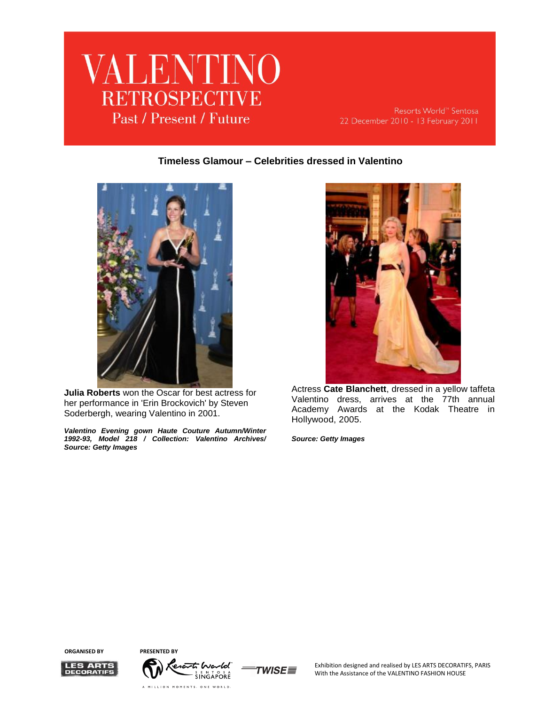

Resorts World<sup>™</sup> Sentosa 22 December 2010 - 13 February 2011

#### **Timeless Glamour – Celebrities dressed in Valentino**



**Julia Roberts** won the Oscar for best actress for her performance in 'Erin Brockovich' by Steven Soderbergh, wearing Valentino in 2001.

*Valentino Evening gown Haute Couture Autumn/Winter 1992-93, Model 218 / Collection: Valentino Archives/ Source: Getty Images*



Actress **Cate Blanchett**, dressed in a yellow taffeta Valentino dress, arrives at the 77th annual Academy Awards at the Kodak Theatre in Hollywood, 2005.

*Source: Getty Images*

**ORGANISED BY PRESENTED BY**